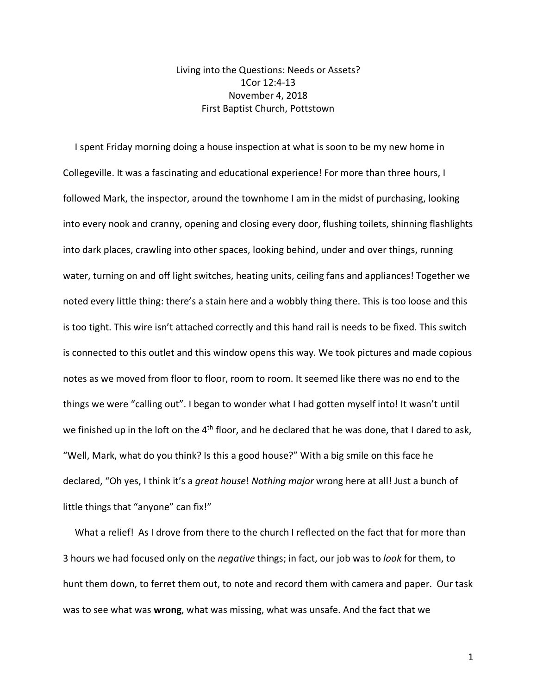## Living into the Questions: Needs or Assets? 1Cor 12:4-13 November 4, 2018 First Baptist Church, Pottstown

 I spent Friday morning doing a house inspection at what is soon to be my new home in Collegeville. It was a fascinating and educational experience! For more than three hours, I followed Mark, the inspector, around the townhome I am in the midst of purchasing, looking into every nook and cranny, opening and closing every door, flushing toilets, shinning flashlights into dark places, crawling into other spaces, looking behind, under and over things, running water, turning on and off light switches, heating units, ceiling fans and appliances! Together we noted every little thing: there's a stain here and a wobbly thing there. This is too loose and this is too tight. This wire isn't attached correctly and this hand rail is needs to be fixed. This switch is connected to this outlet and this window opens this way. We took pictures and made copious notes as we moved from floor to floor, room to room. It seemed like there was no end to the things we were "calling out". I began to wonder what I had gotten myself into! It wasn't until we finished up in the loft on the 4<sup>th</sup> floor, and he declared that he was done, that I dared to ask, "Well, Mark, what do you think? Is this a good house?" With a big smile on this face he declared, "Oh yes, I think it's a *great house*! *Nothing major* wrong here at all! Just a bunch of little things that "anyone" can fix!"

What a relief! As I drove from there to the church I reflected on the fact that for more than 3 hours we had focused only on the *negative* things; in fact, our job was to *look* for them, to hunt them down, to ferret them out, to note and record them with camera and paper. Our task was to see what was **wrong**, what was missing, what was unsafe. And the fact that we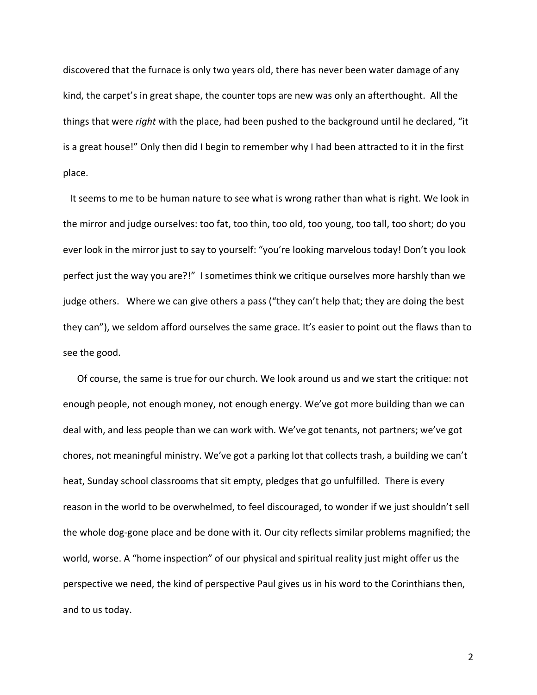discovered that the furnace is only two years old, there has never been water damage of any kind, the carpet's in great shape, the counter tops are new was only an afterthought. All the things that were *right* with the place, had been pushed to the background until he declared, "it is a great house!" Only then did I begin to remember why I had been attracted to it in the first place.

 It seems to me to be human nature to see what is wrong rather than what is right. We look in the mirror and judge ourselves: too fat, too thin, too old, too young, too tall, too short; do you ever look in the mirror just to say to yourself: "you're looking marvelous today! Don't you look perfect just the way you are?!" I sometimes think we critique ourselves more harshly than we judge others. Where we can give others a pass ("they can't help that; they are doing the best they can"), we seldom afford ourselves the same grace. It's easier to point out the flaws than to see the good.

 Of course, the same is true for our church. We look around us and we start the critique: not enough people, not enough money, not enough energy. We've got more building than we can deal with, and less people than we can work with. We've got tenants, not partners; we've got chores, not meaningful ministry. We've got a parking lot that collects trash, a building we can't heat, Sunday school classrooms that sit empty, pledges that go unfulfilled. There is every reason in the world to be overwhelmed, to feel discouraged, to wonder if we just shouldn't sell the whole dog-gone place and be done with it. Our city reflects similar problems magnified; the world, worse. A "home inspection" of our physical and spiritual reality just might offer us the perspective we need, the kind of perspective Paul gives us in his word to the Corinthians then, and to us today.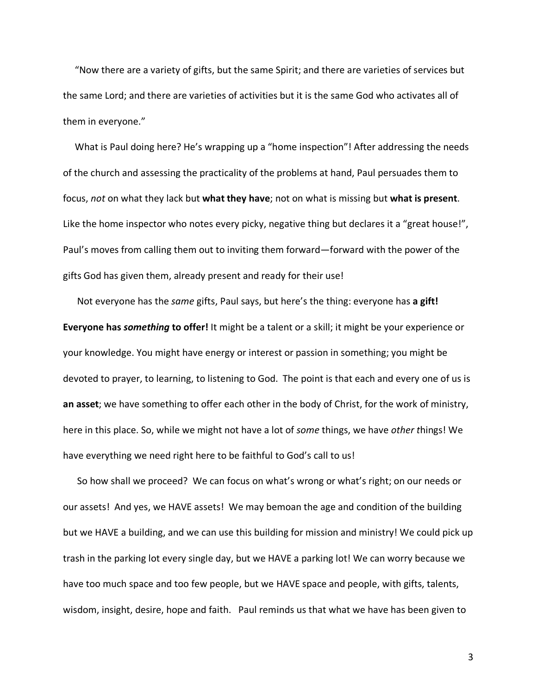"Now there are a variety of gifts, but the same Spirit; and there are varieties of services but the same Lord; and there are varieties of activities but it is the same God who activates all of them in everyone."

 What is Paul doing here? He's wrapping up a "home inspection"! After addressing the needs of the church and assessing the practicality of the problems at hand, Paul persuades them to focus, *not* on what they lack but **what they have**; not on what is missing but **what is present**. Like the home inspector who notes every picky, negative thing but declares it a "great house!", Paul's moves from calling them out to inviting them forward—forward with the power of the gifts God has given them, already present and ready for their use!

 Not everyone has the *same* gifts, Paul says, but here's the thing: everyone has **a gift! Everyone has** *something* **to offer!** It might be a talent or a skill; it might be your experience or your knowledge. You might have energy or interest or passion in something; you might be devoted to prayer, to learning, to listening to God. The point is that each and every one of us is **an asset**; we have something to offer each other in the body of Christ, for the work of ministry, here in this place. So, while we might not have a lot of *some* things, we have *other t*hings! We have everything we need right here to be faithful to God's call to us!

 So how shall we proceed? We can focus on what's wrong or what's right; on our needs or our assets! And yes, we HAVE assets! We may bemoan the age and condition of the building but we HAVE a building, and we can use this building for mission and ministry! We could pick up trash in the parking lot every single day, but we HAVE a parking lot! We can worry because we have too much space and too few people, but we HAVE space and people, with gifts, talents, wisdom, insight, desire, hope and faith. Paul reminds us that what we have has been given to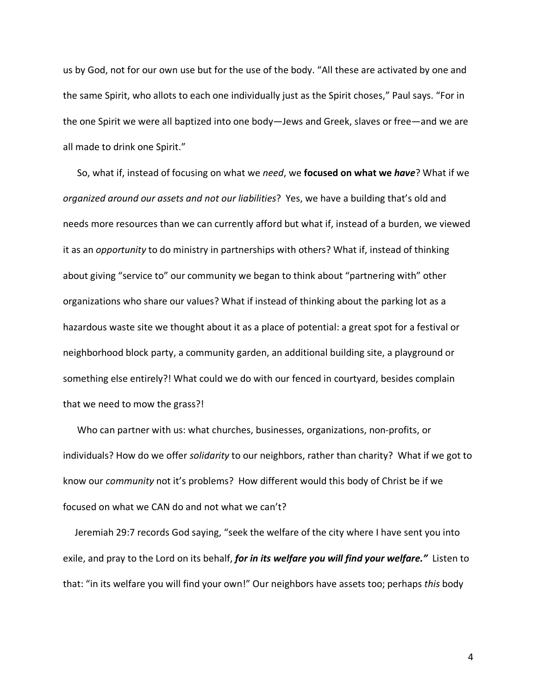us by God, not for our own use but for the use of the body. "All these are activated by one and the same Spirit, who allots to each one individually just as the Spirit choses," Paul says. "For in the one Spirit we were all baptized into one body—Jews and Greek, slaves or free—and we are all made to drink one Spirit."

 So, what if, instead of focusing on what we *need*, we **focused on what we** *have*? What if we *organized around our assets and not our liabilities*? Yes, we have a building that's old and needs more resources than we can currently afford but what if, instead of a burden, we viewed it as an *opportunity* to do ministry in partnerships with others? What if, instead of thinking about giving "service to" our community we began to think about "partnering with" other organizations who share our values? What if instead of thinking about the parking lot as a hazardous waste site we thought about it as a place of potential: a great spot for a festival or neighborhood block party, a community garden, an additional building site, a playground or something else entirely?! What could we do with our fenced in courtyard, besides complain that we need to mow the grass?!

 Who can partner with us: what churches, businesses, organizations, non-profits, or individuals? How do we offer *solidarity* to our neighbors, rather than charity? What if we got to know our *community* not it's problems? How different would this body of Christ be if we focused on what we CAN do and not what we can't?

 Jeremiah 29:7 records God saying, "seek the welfare of the city where I have sent you into exile, and pray to the Lord on its behalf, *for in its welfare you will find your welfare."* Listen to that: "in its welfare you will find your own!" Our neighbors have assets too; perhaps *this* body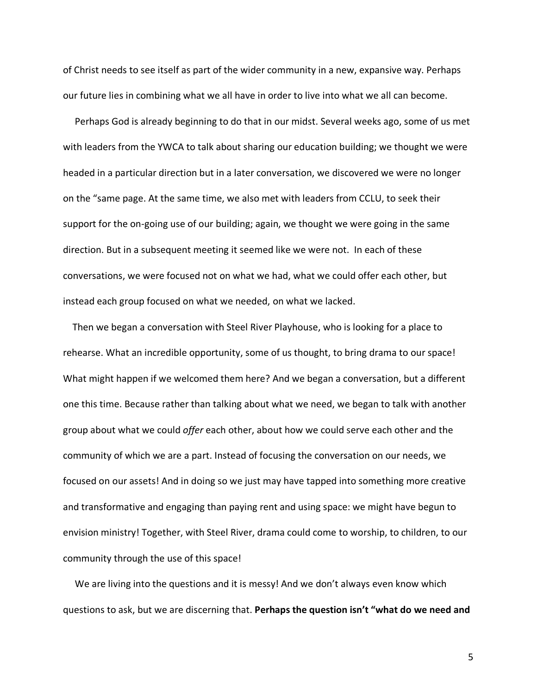of Christ needs to see itself as part of the wider community in a new, expansive way. Perhaps our future lies in combining what we all have in order to live into what we all can become.

 Perhaps God is already beginning to do that in our midst. Several weeks ago, some of us met with leaders from the YWCA to talk about sharing our education building; we thought we were headed in a particular direction but in a later conversation, we discovered we were no longer on the "same page. At the same time, we also met with leaders from CCLU, to seek their support for the on-going use of our building; again, we thought we were going in the same direction. But in a subsequent meeting it seemed like we were not. In each of these conversations, we were focused not on what we had, what we could offer each other, but instead each group focused on what we needed, on what we lacked.

 Then we began a conversation with Steel River Playhouse, who is looking for a place to rehearse. What an incredible opportunity, some of us thought, to bring drama to our space! What might happen if we welcomed them here? And we began a conversation, but a different one this time. Because rather than talking about what we need, we began to talk with another group about what we could *offer* each other, about how we could serve each other and the community of which we are a part. Instead of focusing the conversation on our needs, we focused on our assets! And in doing so we just may have tapped into something more creative and transformative and engaging than paying rent and using space: we might have begun to envision ministry! Together, with Steel River, drama could come to worship, to children, to our community through the use of this space!

 We are living into the questions and it is messy! And we don't always even know which questions to ask, but we are discerning that. **Perhaps the question isn't "what do we need and**